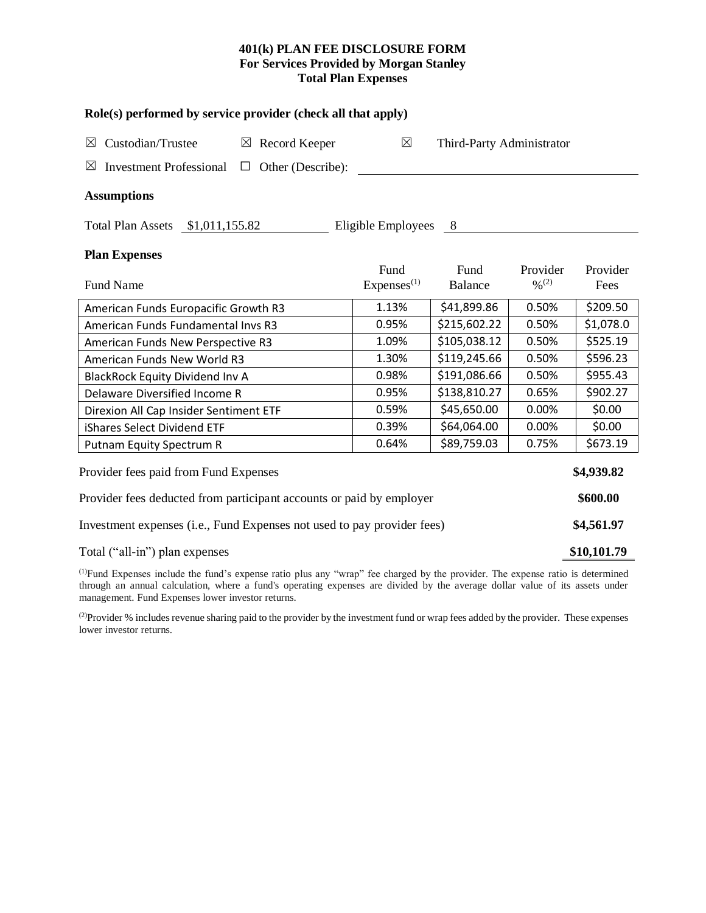## **401(k) PLAN FEE DISCLOSURE FORM For Services Provided by Morgan Stanley Total Plan Expenses**

| Role(s) performed by service provider (check all that apply)                 |                        |                           |                              |            |  |  |  |  |  |
|------------------------------------------------------------------------------|------------------------|---------------------------|------------------------------|------------|--|--|--|--|--|
| Custodian/Trustee<br>$\boxtimes$ Record Keeper<br>$\boxtimes$                | $\boxtimes$            | Third-Party Administrator |                              |            |  |  |  |  |  |
| $\boxtimes$<br><b>Investment Professional</b><br>Other (Describe):<br>$\Box$ |                        |                           |                              |            |  |  |  |  |  |
| <b>Assumptions</b>                                                           |                        |                           |                              |            |  |  |  |  |  |
| Total Plan Assets \$1,011,155.82                                             | Eligible Employees     | - 8                       |                              |            |  |  |  |  |  |
| <b>Plan Expenses</b>                                                         |                        |                           |                              |            |  |  |  |  |  |
|                                                                              | Fund                   | Fund                      | Provider                     | Provider   |  |  |  |  |  |
| <b>Fund Name</b>                                                             | Express <sup>(1)</sup> | <b>Balance</b>            | $\frac{0}{2}$ <sup>(2)</sup> | Fees       |  |  |  |  |  |
| American Funds Europacific Growth R3                                         | 1.13%                  | \$41,899.86               | 0.50%                        | \$209.50   |  |  |  |  |  |
| American Funds Fundamental Invs R3                                           | 0.95%                  | \$215,602.22              | 0.50%                        | \$1,078.0  |  |  |  |  |  |
| American Funds New Perspective R3                                            | 1.09%                  | \$105,038.12              | 0.50%                        | \$525.19   |  |  |  |  |  |
| American Funds New World R3                                                  | 1.30%                  | \$119,245.66              | 0.50%                        | \$596.23   |  |  |  |  |  |
| <b>BlackRock Equity Dividend Inv A</b>                                       | 0.98%                  | \$191,086.66              | 0.50%                        | \$955.43   |  |  |  |  |  |
| Delaware Diversified Income R                                                | 0.95%                  | \$138,810.27              | 0.65%                        | \$902.27   |  |  |  |  |  |
| Direxion All Cap Insider Sentiment ETF                                       | 0.59%                  | \$45,650.00               | 0.00%                        | \$0.00     |  |  |  |  |  |
| iShares Select Dividend ETF                                                  | 0.39%                  | \$64,064.00               | 0.00%                        | \$0.00     |  |  |  |  |  |
| Putnam Equity Spectrum R                                                     | 0.64%                  | \$89,759.03               | 0.75%                        | \$673.19   |  |  |  |  |  |
| Provider fees paid from Fund Expenses                                        |                        |                           |                              | \$4,939.82 |  |  |  |  |  |
| Provider fees deducted from participant accounts or paid by employer         |                        |                           |                              |            |  |  |  |  |  |
| Investment expenses (i.e., Fund Expenses not used to pay provider fees)      |                        |                           |                              |            |  |  |  |  |  |
| Total ("all-in") plan expenses                                               |                        |                           |                              |            |  |  |  |  |  |

(1)Fund Expenses include the fund's expense ratio plus any "wrap" fee charged by the provider. The expense ratio is determined through an annual calculation, where a fund's operating expenses are divided by the average dollar value of its assets under management. Fund Expenses lower investor returns.

<sup>(2)</sup>Provider % includes revenue sharing paid to the provider by the investment fund or wrap fees added by the provider. These expenses lower investor returns.